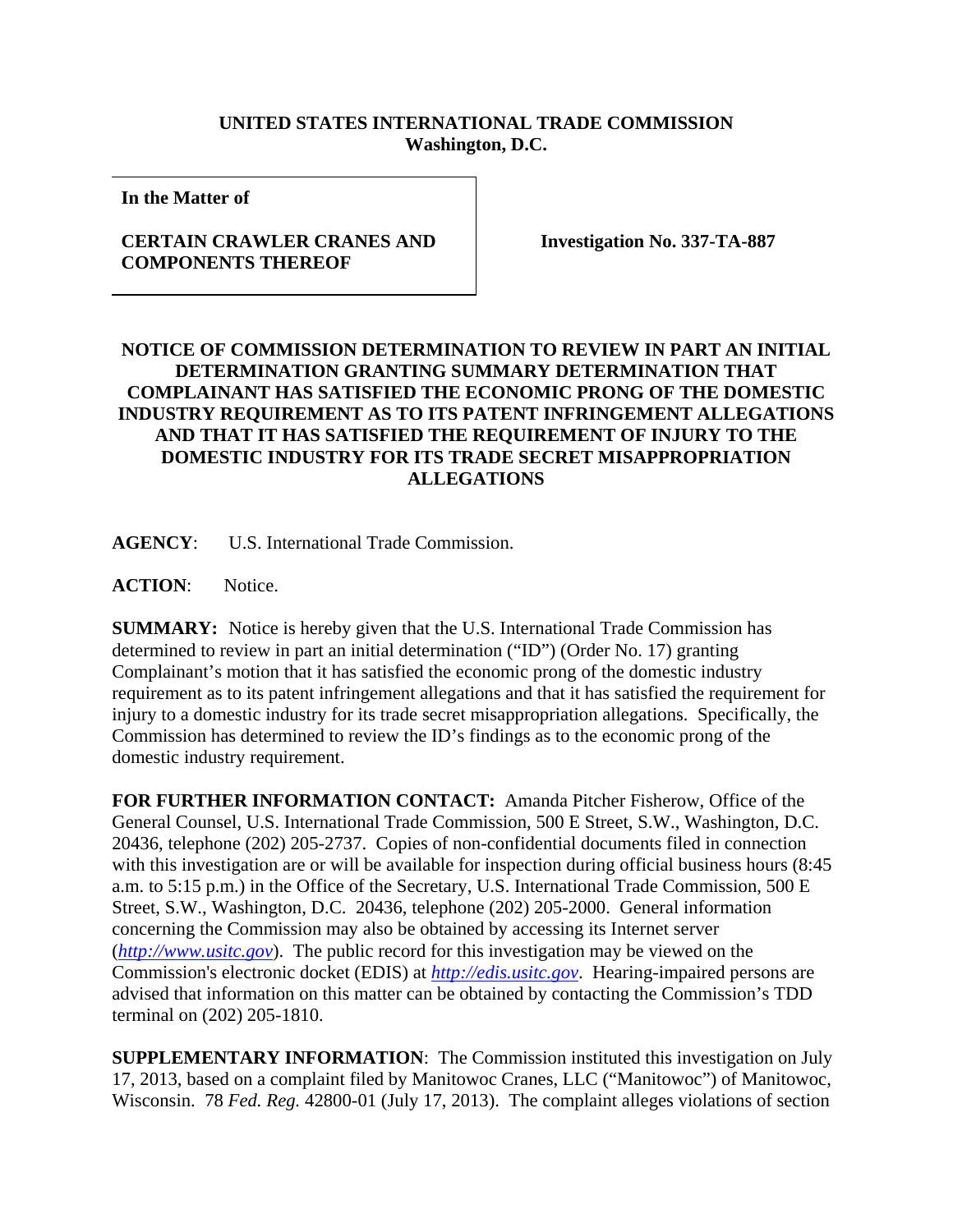## **UNITED STATES INTERNATIONAL TRADE COMMISSION Washington, D.C.**

**In the Matter of** 

## **CERTAIN CRAWLER CRANES AND COMPONENTS THEREOF**

**Investigation No. 337-TA-887** 

## **NOTICE OF COMMISSION DETERMINATION TO REVIEW IN PART AN INITIAL DETERMINATION GRANTING SUMMARY DETERMINATION THAT COMPLAINANT HAS SATISFIED THE ECONOMIC PRONG OF THE DOMESTIC INDUSTRY REQUIREMENT AS TO ITS PATENT INFRINGEMENT ALLEGATIONS AND THAT IT HAS SATISFIED THE REQUIREMENT OF INJURY TO THE DOMESTIC INDUSTRY FOR ITS TRADE SECRET MISAPPROPRIATION ALLEGATIONS**

**AGENCY**: U.S. International Trade Commission.

**ACTION**: Notice.

**SUMMARY:** Notice is hereby given that the U.S. International Trade Commission has determined to review in part an initial determination ("ID") (Order No. 17) granting Complainant's motion that it has satisfied the economic prong of the domestic industry requirement as to its patent infringement allegations and that it has satisfied the requirement for injury to a domestic industry for its trade secret misappropriation allegations. Specifically, the Commission has determined to review the ID's findings as to the economic prong of the domestic industry requirement.

**FOR FURTHER INFORMATION CONTACT:** Amanda Pitcher Fisherow, Office of the General Counsel, U.S. International Trade Commission, 500 E Street, S.W., Washington, D.C. 20436, telephone (202) 205-2737. Copies of non-confidential documents filed in connection with this investigation are or will be available for inspection during official business hours (8:45 a.m. to 5:15 p.m.) in the Office of the Secretary, U.S. International Trade Commission, 500 E Street, S.W., Washington, D.C. 20436, telephone (202) 205-2000. General information concerning the Commission may also be obtained by accessing its Internet server (*http://www.usitc.gov*). The public record for this investigation may be viewed on the Commission's electronic docket (EDIS) at *http://edis.usitc.gov*. Hearing-impaired persons are advised that information on this matter can be obtained by contacting the Commission's TDD terminal on (202) 205-1810.

**SUPPLEMENTARY INFORMATION**: The Commission instituted this investigation on July 17, 2013, based on a complaint filed by Manitowoc Cranes, LLC ("Manitowoc") of Manitowoc, Wisconsin. 78 *Fed. Reg.* 42800-01 (July 17, 2013). The complaint alleges violations of section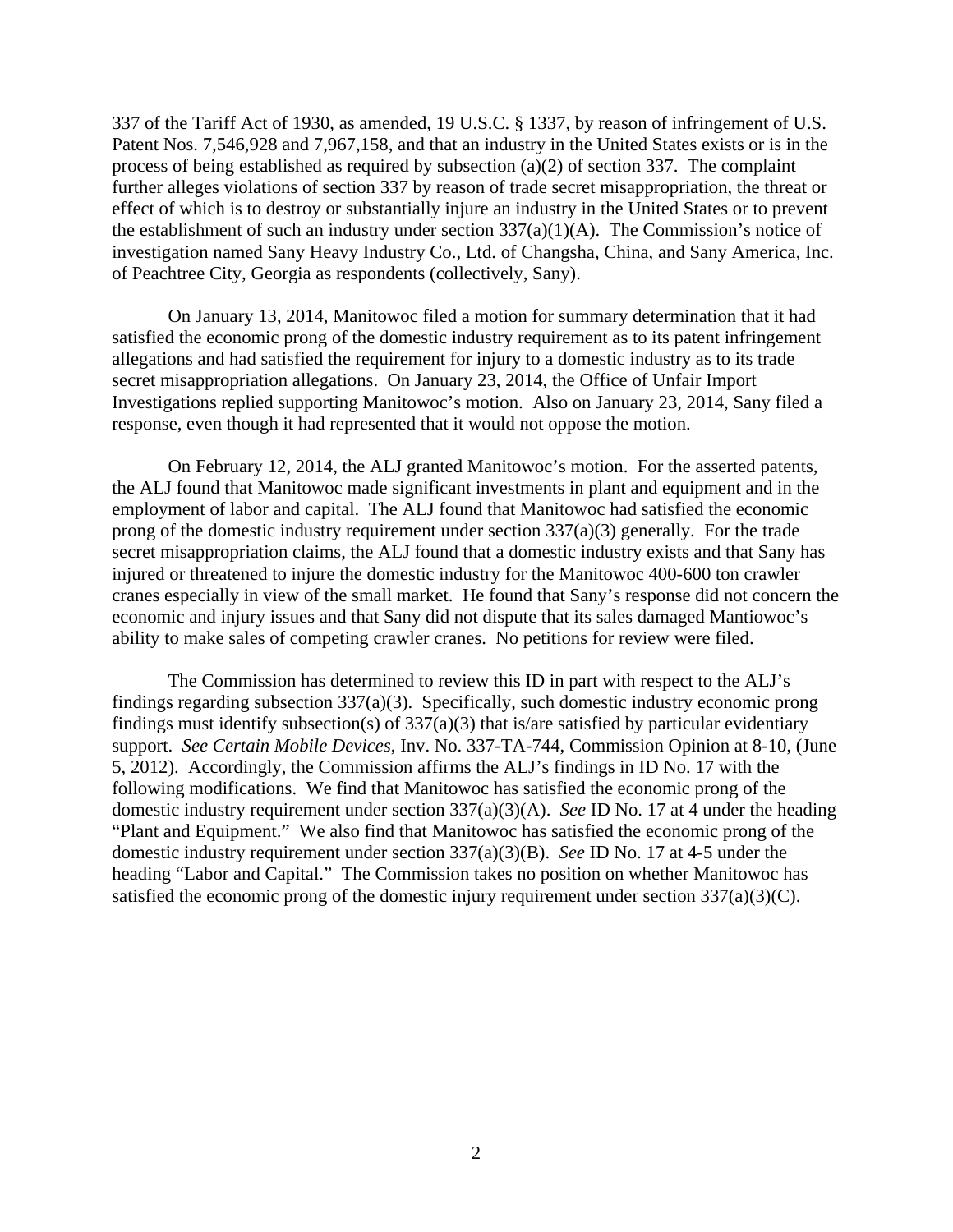337 of the Tariff Act of 1930, as amended, 19 U.S.C. § 1337, by reason of infringement of U.S. Patent Nos. 7,546,928 and 7,967,158, and that an industry in the United States exists or is in the process of being established as required by subsection (a)(2) of section 337. The complaint further alleges violations of section 337 by reason of trade secret misappropriation, the threat or effect of which is to destroy or substantially injure an industry in the United States or to prevent the establishment of such an industry under section  $337(a)(1)(A)$ . The Commission's notice of investigation named Sany Heavy Industry Co., Ltd. of Changsha, China, and Sany America, Inc. of Peachtree City, Georgia as respondents (collectively, Sany).

On January 13, 2014, Manitowoc filed a motion for summary determination that it had satisfied the economic prong of the domestic industry requirement as to its patent infringement allegations and had satisfied the requirement for injury to a domestic industry as to its trade secret misappropriation allegations. On January 23, 2014, the Office of Unfair Import Investigations replied supporting Manitowoc's motion. Also on January 23, 2014, Sany filed a response, even though it had represented that it would not oppose the motion.

On February 12, 2014, the ALJ granted Manitowoc's motion. For the asserted patents, the ALJ found that Manitowoc made significant investments in plant and equipment and in the employment of labor and capital. The ALJ found that Manitowoc had satisfied the economic prong of the domestic industry requirement under section  $337(a)(3)$  generally. For the trade secret misappropriation claims, the ALJ found that a domestic industry exists and that Sany has injured or threatened to injure the domestic industry for the Manitowoc 400-600 ton crawler cranes especially in view of the small market. He found that Sany's response did not concern the economic and injury issues and that Sany did not dispute that its sales damaged Mantiowoc's ability to make sales of competing crawler cranes. No petitions for review were filed.

The Commission has determined to review this ID in part with respect to the ALJ's findings regarding subsection 337(a)(3). Specifically, such domestic industry economic prong findings must identify subsection(s) of 337(a)(3) that is/are satisfied by particular evidentiary support. *See Certain Mobile Devices*, Inv. No. 337-TA-744, Commission Opinion at 8-10, (June 5, 2012). Accordingly, the Commission affirms the ALJ's findings in ID No. 17 with the following modifications. We find that Manitowoc has satisfied the economic prong of the domestic industry requirement under section 337(a)(3)(A). *See* ID No. 17 at 4 under the heading "Plant and Equipment." We also find that Manitowoc has satisfied the economic prong of the domestic industry requirement under section 337(a)(3)(B). *See* ID No. 17 at 4-5 under the heading "Labor and Capital." The Commission takes no position on whether Manitowoc has satisfied the economic prong of the domestic injury requirement under section 337(a)(3)(C).